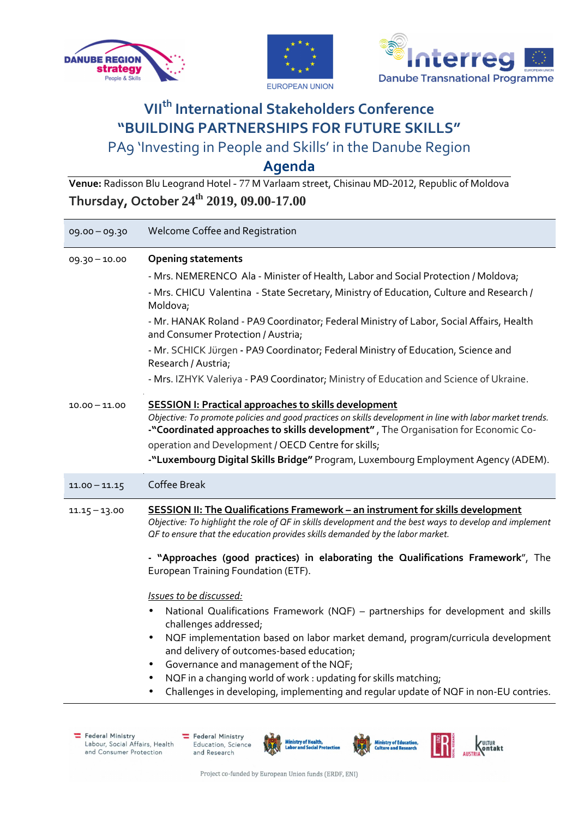





# **VIIth International Stakeholders Conference "BUILDING PARTNERSHIPS FOR FUTURE SKILLS"**  PA9 'Investing in People and Skills' in the Danube Region

**Agenda**

**Venue:** Radisson Blu Leogrand Hotel - 77 M Varlaam street, Chisinau MD-2012, Republic of Moldova **Thursday, October 24th 2019, 09.00-17.00**

| 09.00 - 09.30   | Welcome Coffee and Registration                                                                                                                                                                                                                                                                                                                                                                                                                                                                                                                                                                                                                                                                                                                                                                                                                                                                                     |
|-----------------|---------------------------------------------------------------------------------------------------------------------------------------------------------------------------------------------------------------------------------------------------------------------------------------------------------------------------------------------------------------------------------------------------------------------------------------------------------------------------------------------------------------------------------------------------------------------------------------------------------------------------------------------------------------------------------------------------------------------------------------------------------------------------------------------------------------------------------------------------------------------------------------------------------------------|
| $09.30 - 10.00$ | <b>Opening statements</b><br>- Mrs. NEMERENCO Ala - Minister of Health, Labor and Social Protection / Moldova;<br>- Mrs. CHICU Valentina - State Secretary, Ministry of Education, Culture and Research /<br>Moldova;<br>- Mr. HANAK Roland - PA9 Coordinator; Federal Ministry of Labor, Social Affairs, Health<br>and Consumer Protection / Austria;<br>- Mr. SCHICK Jürgen - PA9 Coordinator; Federal Ministry of Education, Science and<br>Research / Austria;                                                                                                                                                                                                                                                                                                                                                                                                                                                  |
| $10.00 - 11.00$ | - Mrs. IZHYK Valeriya - PA9 Coordinator; Ministry of Education and Science of Ukraine.<br><b>SESSION I: Practical approaches to skills development</b><br>Objective: To promote policies and good practices on skills development in line with labor market trends.<br>-"Coordinated approaches to skills development", The Organisation for Economic Co-<br>operation and Development / OECD Centre for skills;<br>-"Luxembourg Digital Skills Bridge" Program, Luxembourg Employment Agency (ADEM).                                                                                                                                                                                                                                                                                                                                                                                                               |
| $11.00 - 11.15$ | Coffee Break                                                                                                                                                                                                                                                                                                                                                                                                                                                                                                                                                                                                                                                                                                                                                                                                                                                                                                        |
| $11.15 - 13.00$ | <b>SESSION II: The Qualifications Framework - an instrument for skills development</b><br>Objective: To highlight the role of QF in skills development and the best ways to develop and implement<br>OF to ensure that the education provides skills demanded by the labor market.<br>- "Approaches (good practices) in elaborating the Qualifications Framework", The<br>European Training Foundation (ETF).<br>Issues to be discussed:<br>National Qualifications Framework (NQF) - partnerships for development and skills<br>challenges addressed;<br>NQF implementation based on labor market demand, program/curricula development<br>$\bullet$<br>and delivery of outcomes-based education;<br>Governance and management of the NQF;<br>NQF in a changing world of work : updating for skills matching;<br>Challenges in developing, implementing and regular update of NQF in non-EU contries.<br>$\bullet$ |

Federal Ministry Labour, Social Affairs, Health and Consumer Protection







**Ministry of Educatio**<br>Culture and Researc